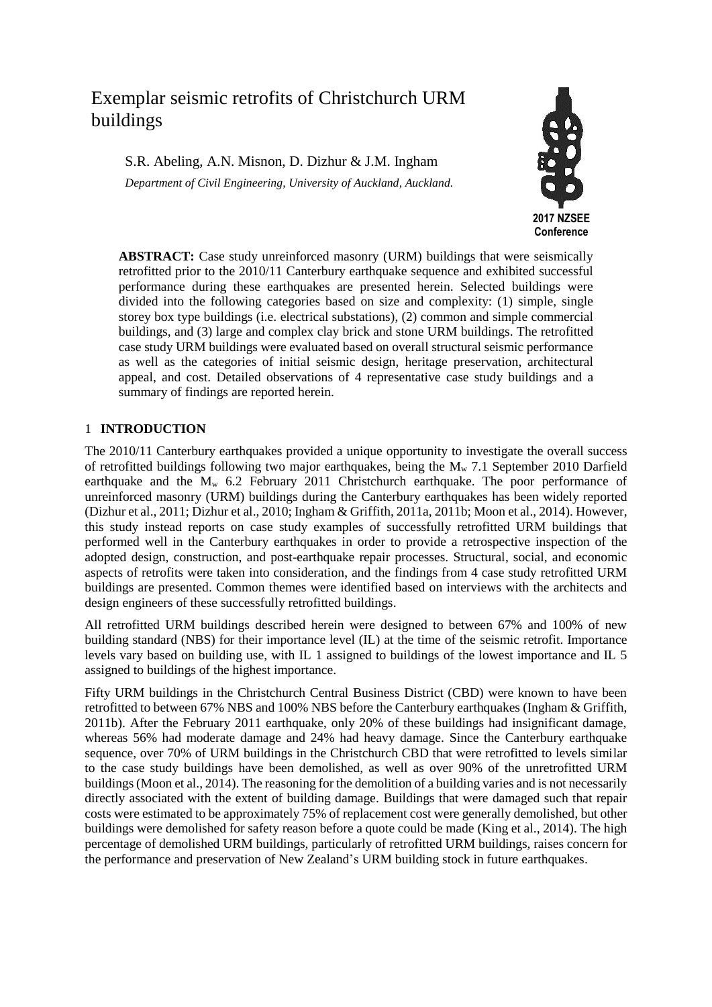# Exemplar seismic retrofits of Christchurch URM buildings

S.R. Abeling, A.N. Misnon, D. Dizhur & J.M. Ingham *Department of Civil Engineering, University of Auckland, Auckland.*



**ABSTRACT:** Case study unreinforced masonry (URM) buildings that were seismically retrofitted prior to the 2010/11 Canterbury earthquake sequence and exhibited successful performance during these earthquakes are presented herein. Selected buildings were divided into the following categories based on size and complexity: (1) simple, single storey box type buildings (i.e. electrical substations), (2) common and simple commercial buildings, and (3) large and complex clay brick and stone URM buildings. The retrofitted case study URM buildings were evaluated based on overall structural seismic performance as well as the categories of initial seismic design, heritage preservation, architectural appeal, and cost. Detailed observations of 4 representative case study buildings and a summary of findings are reported herein.

## 1 **INTRODUCTION**

The 2010/11 Canterbury earthquakes provided a unique opportunity to investigate the overall success of retrofitted buildings following two major earthquakes, being the  $M_{w}$  7.1 September 2010 Darfield earthquake and the  $M_w$  6.2 February 2011 Christchurch earthquake. The poor performance of unreinforced masonry (URM) buildings during the Canterbury earthquakes has been widely reported (Dizhur et al., 2011; Dizhur et al., 2010; Ingham & Griffith, 2011a, 2011b; Moon et al., 2014). However, this study instead reports on case study examples of successfully retrofitted URM buildings that performed well in the Canterbury earthquakes in order to provide a retrospective inspection of the adopted design, construction, and post-earthquake repair processes. Structural, social, and economic aspects of retrofits were taken into consideration, and the findings from 4 case study retrofitted URM buildings are presented. Common themes were identified based on interviews with the architects and design engineers of these successfully retrofitted buildings.

All retrofitted URM buildings described herein were designed to between 67% and 100% of new building standard (NBS) for their importance level (IL) at the time of the seismic retrofit. Importance levels vary based on building use, with IL 1 assigned to buildings of the lowest importance and IL 5 assigned to buildings of the highest importance.

Fifty URM buildings in the Christchurch Central Business District (CBD) were known to have been retrofitted to between 67% NBS and 100% NBS before the Canterbury earthquakes (Ingham & Griffith, 2011b). After the February 2011 earthquake, only 20% of these buildings had insignificant damage, whereas 56% had moderate damage and 24% had heavy damage. Since the Canterbury earthquake sequence, over 70% of URM buildings in the Christchurch CBD that were retrofitted to levels similar to the case study buildings have been demolished, as well as over 90% of the unretrofitted URM buildings (Moon et al., 2014). The reasoning for the demolition of a building varies and is not necessarily directly associated with the extent of building damage. Buildings that were damaged such that repair costs were estimated to be approximately 75% of replacement cost were generally demolished, but other buildings were demolished for safety reason before a quote could be made (King et al., 2014). The high percentage of demolished URM buildings, particularly of retrofitted URM buildings, raises concern for the performance and preservation of New Zealand's URM building stock in future earthquakes.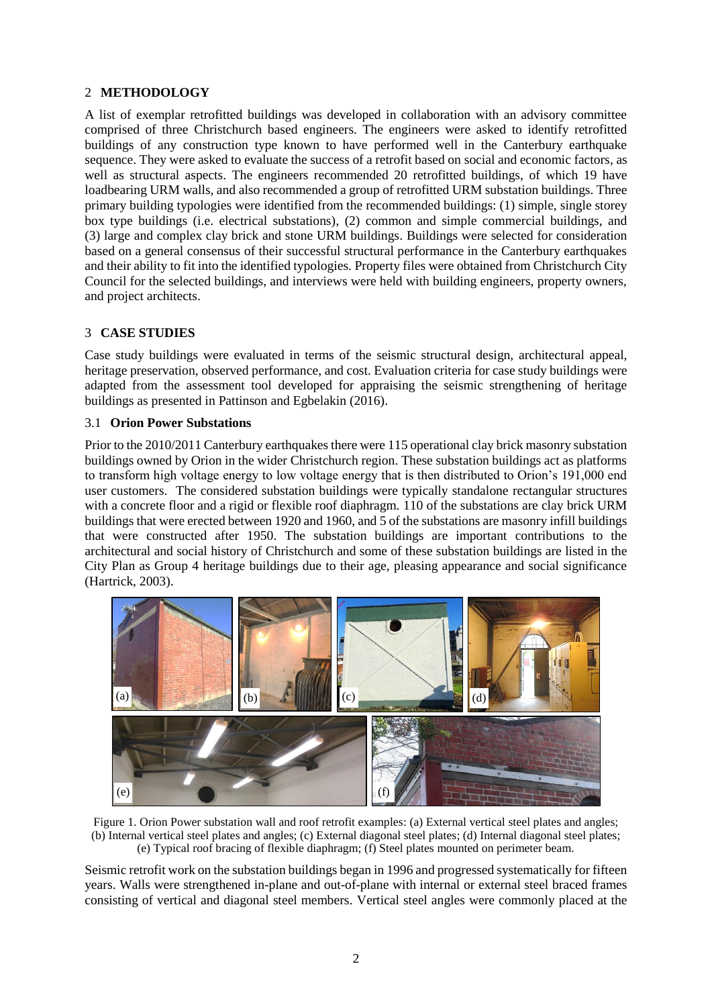# 2 **METHODOLOGY**

A list of exemplar retrofitted buildings was developed in collaboration with an advisory committee comprised of three Christchurch based engineers. The engineers were asked to identify retrofitted buildings of any construction type known to have performed well in the Canterbury earthquake sequence. They were asked to evaluate the success of a retrofit based on social and economic factors, as well as structural aspects. The engineers recommended 20 retrofitted buildings, of which 19 have loadbearing URM walls, and also recommended a group of retrofitted URM substation buildings. Three primary building typologies were identified from the recommended buildings: (1) simple, single storey box type buildings (i.e. electrical substations), (2) common and simple commercial buildings, and (3) large and complex clay brick and stone URM buildings. Buildings were selected for consideration based on a general consensus of their successful structural performance in the Canterbury earthquakes and their ability to fit into the identified typologies. Property files were obtained from Christchurch City Council for the selected buildings, and interviews were held with building engineers, property owners, and project architects.

## 3 **CASE STUDIES**

Case study buildings were evaluated in terms of the seismic structural design, architectural appeal, heritage preservation, observed performance, and cost. Evaluation criteria for case study buildings were adapted from the assessment tool developed for appraising the seismic strengthening of heritage buildings as presented in Pattinson and Egbelakin (2016).

### 3.1 **Orion Power Substations**

Prior to the 2010/2011 Canterbury earthquakes there were 115 operational clay brick masonry substation buildings owned by Orion in the wider Christchurch region. These substation buildings act as platforms to transform high voltage energy to low voltage energy that is then distributed to Orion's 191,000 end user customers. The considered substation buildings were typically standalone rectangular structures with a concrete floor and a rigid or flexible roof diaphragm. 110 of the substations are clay brick URM buildings that were erected between 1920 and 1960, and 5 of the substations are masonry infill buildings that were constructed after 1950. The substation buildings are important contributions to the architectural and social history of Christchurch and some of these substation buildings are listed in the City Plan as Group 4 heritage buildings due to their age, pleasing appearance and social significance (Hartrick, 2003).



Figure 1. Orion Power substation wall and roof retrofit examples: (a) External vertical steel plates and angles; (b) Internal vertical steel plates and angles; (c) External diagonal steel plates; (d) Internal diagonal steel plates; (e) Typical roof bracing of flexible diaphragm; (f) Steel plates mounted on perimeter beam.

Seismic retrofit work on the substation buildings began in 1996 and progressed systematically for fifteen years. Walls were strengthened in-plane and out-of-plane with internal or external steel braced frames consisting of vertical and diagonal steel members. Vertical steel angles were commonly placed at the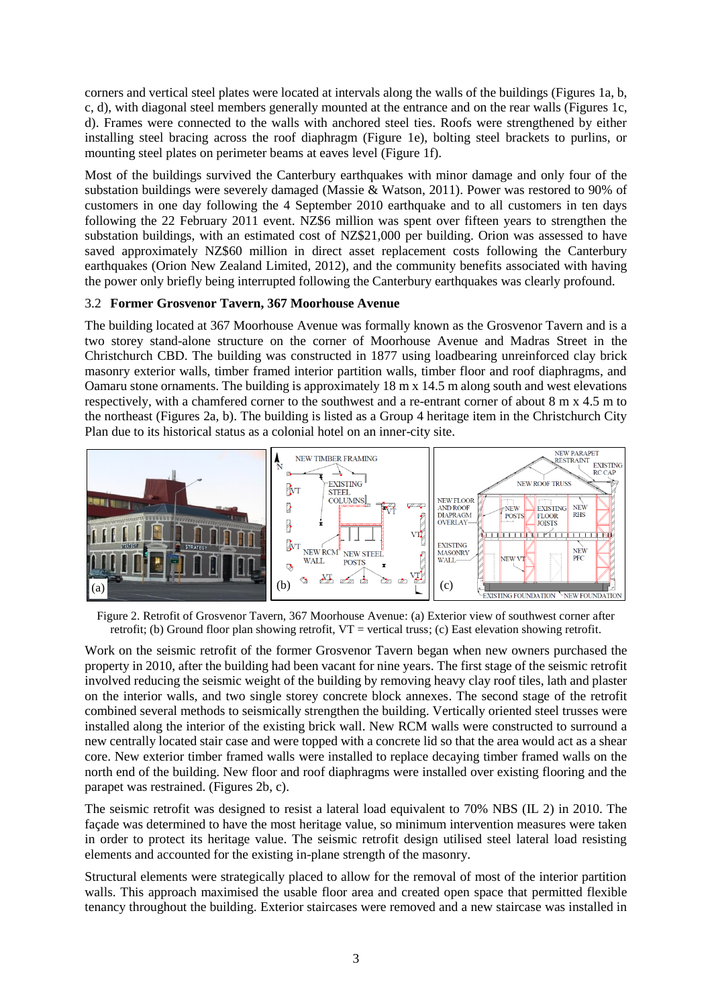corners and vertical steel plates were located at intervals along the walls of the buildings (Figures 1a, b, c, d), with diagonal steel members generally mounted at the entrance and on the rear walls (Figures 1c, d). Frames were connected to the walls with anchored steel ties. Roofs were strengthened by either installing steel bracing across the roof diaphragm (Figure 1e), bolting steel brackets to purlins, or mounting steel plates on perimeter beams at eaves level (Figure 1f).

Most of the buildings survived the Canterbury earthquakes with minor damage and only four of the substation buildings were severely damaged (Massie & Watson, 2011). Power was restored to 90% of customers in one day following the 4 September 2010 earthquake and to all customers in ten days following the 22 February 2011 event. NZ\$6 million was spent over fifteen years to strengthen the substation buildings, with an estimated cost of NZ\$21,000 per building. Orion was assessed to have saved approximately NZ\$60 million in direct asset replacement costs following the Canterbury earthquakes (Orion New Zealand Limited, 2012), and the community benefits associated with having the power only briefly being interrupted following the Canterbury earthquakes was clearly profound.

### 3.2 **Former Grosvenor Tavern, 367 Moorhouse Avenue**

The building located at 367 Moorhouse Avenue was formally known as the Grosvenor Tavern and is a two storey stand-alone structure on the corner of Moorhouse Avenue and Madras Street in the Christchurch CBD. The building was constructed in 1877 using loadbearing unreinforced clay brick masonry exterior walls, timber framed interior partition walls, timber floor and roof diaphragms, and Oamaru stone ornaments. The building is approximately 18 m x 14.5 m along south and west elevations respectively, with a chamfered corner to the southwest and a re-entrant corner of about 8 m x 4.5 m to the northeast (Figures 2a, b). The building is listed as a Group 4 heritage item in the Christchurch City Plan due to its historical status as a colonial hotel on an inner-city site.



Figure 2. Retrofit of Grosvenor Tavern, 367 Moorhouse Avenue: (a) Exterior view of southwest corner after retrofit; (b) Ground floor plan showing retrofit, VT = vertical truss; (c) East elevation showing retrofit.

Work on the seismic retrofit of the former Grosvenor Tavern began when new owners purchased the property in 2010, after the building had been vacant for nine years. The first stage of the seismic retrofit involved reducing the seismic weight of the building by removing heavy clay roof tiles, lath and plaster on the interior walls, and two single storey concrete block annexes. The second stage of the retrofit combined several methods to seismically strengthen the building. Vertically oriented steel trusses were installed along the interior of the existing brick wall. New RCM walls were constructed to surround a new centrally located stair case and were topped with a concrete lid so that the area would act as a shear core. New exterior timber framed walls were installed to replace decaying timber framed walls on the north end of the building. New floor and roof diaphragms were installed over existing flooring and the parapet was restrained. (Figures 2b, c).

The seismic retrofit was designed to resist a lateral load equivalent to 70% NBS (IL 2) in 2010. The façade was determined to have the most heritage value, so minimum intervention measures were taken in order to protect its heritage value. The seismic retrofit design utilised steel lateral load resisting elements and accounted for the existing in-plane strength of the masonry.

Structural elements were strategically placed to allow for the removal of most of the interior partition walls. This approach maximised the usable floor area and created open space that permitted flexible tenancy throughout the building. Exterior staircases were removed and a new staircase was installed in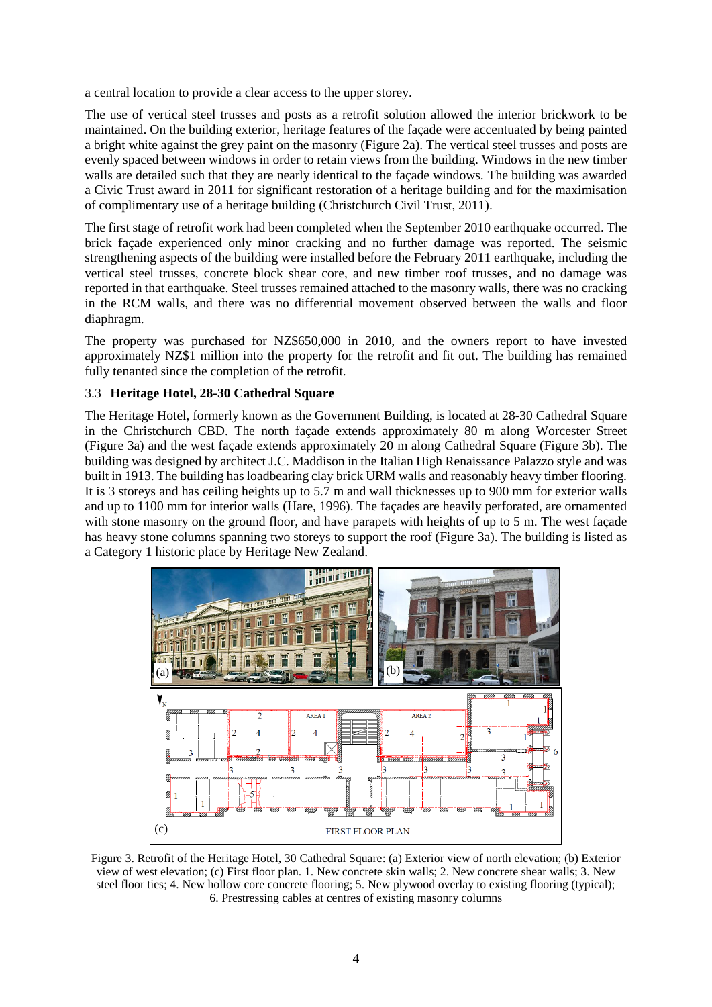a central location to provide a clear access to the upper storey.

The use of vertical steel trusses and posts as a retrofit solution allowed the interior brickwork to be maintained. On the building exterior, heritage features of the façade were accentuated by being painted a bright white against the grey paint on the masonry (Figure 2a). The vertical steel trusses and posts are evenly spaced between windows in order to retain views from the building. Windows in the new timber walls are detailed such that they are nearly identical to the façade windows. The building was awarded a Civic Trust award in 2011 for significant restoration of a heritage building and for the maximisation of complimentary use of a heritage building (Christchurch Civil Trust, 2011).

The first stage of retrofit work had been completed when the September 2010 earthquake occurred. The brick façade experienced only minor cracking and no further damage was reported. The seismic strengthening aspects of the building were installed before the February 2011 earthquake, including the vertical steel trusses, concrete block shear core, and new timber roof trusses, and no damage was reported in that earthquake. Steel trusses remained attached to the masonry walls, there was no cracking in the RCM walls, and there was no differential movement observed between the walls and floor diaphragm.

The property was purchased for NZ\$650,000 in 2010, and the owners report to have invested approximately NZ\$1 million into the property for the retrofit and fit out. The building has remained fully tenanted since the completion of the retrofit.

### 3.3 **Heritage Hotel, 28-30 Cathedral Square**

The Heritage Hotel, formerly known as the Government Building, is located at 28-30 Cathedral Square in the Christchurch CBD. The north façade extends approximately 80 m along Worcester Street (Figure 3a) and the west façade extends approximately 20 m along Cathedral Square (Figure 3b). The building was designed by architect J.C. Maddison in the Italian High Renaissance Palazzo style and was built in 1913. The building has loadbearing clay brick URM walls and reasonably heavy timber flooring. It is 3 storeys and has ceiling heights up to 5.7 m and wall thicknesses up to 900 mm for exterior walls and up to 1100 mm for interior walls (Hare, 1996). The façades are heavily perforated, are ornamented with stone masonry on the ground floor, and have parapets with heights of up to 5 m. The west façade has heavy stone columns spanning two storeys to support the roof (Figure 3a). The building is listed as a Category 1 historic place by Heritage New Zealand.



Figure 3. Retrofit of the Heritage Hotel, 30 Cathedral Square: (a) Exterior view of north elevation; (b) Exterior view of west elevation; (c) First floor plan. 1. New concrete skin walls; 2. New concrete shear walls; 3. New steel floor ties; 4. New hollow core concrete flooring; 5. New plywood overlay to existing flooring (typical); 6. Prestressing cables at centres of existing masonry columns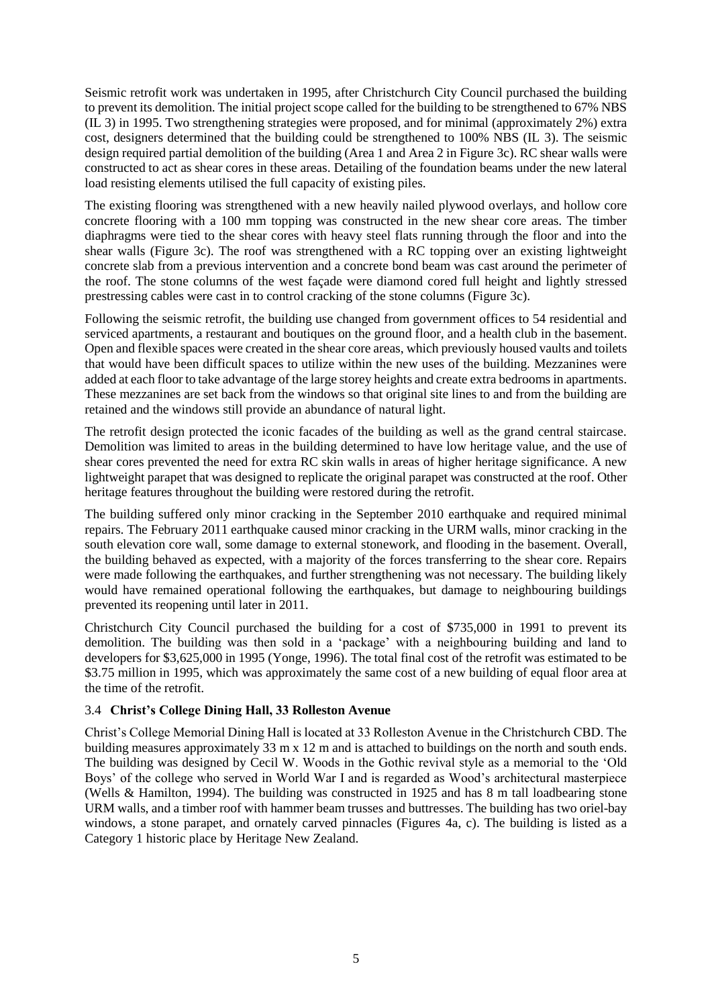Seismic retrofit work was undertaken in 1995, after Christchurch City Council purchased the building to prevent its demolition. The initial project scope called for the building to be strengthened to 67% NBS (IL 3) in 1995. Two strengthening strategies were proposed, and for minimal (approximately 2%) extra cost, designers determined that the building could be strengthened to 100% NBS (IL 3). The seismic design required partial demolition of the building (Area 1 and Area 2 in Figure 3c). RC shear walls were constructed to act as shear cores in these areas. Detailing of the foundation beams under the new lateral load resisting elements utilised the full capacity of existing piles.

The existing flooring was strengthened with a new heavily nailed plywood overlays, and hollow core concrete flooring with a 100 mm topping was constructed in the new shear core areas. The timber diaphragms were tied to the shear cores with heavy steel flats running through the floor and into the shear walls (Figure 3c). The roof was strengthened with a RC topping over an existing lightweight concrete slab from a previous intervention and a concrete bond beam was cast around the perimeter of the roof. The stone columns of the west façade were diamond cored full height and lightly stressed prestressing cables were cast in to control cracking of the stone columns (Figure 3c).

Following the seismic retrofit, the building use changed from government offices to 54 residential and serviced apartments, a restaurant and boutiques on the ground floor, and a health club in the basement. Open and flexible spaces were created in the shear core areas, which previously housed vaults and toilets that would have been difficult spaces to utilize within the new uses of the building. Mezzanines were added at each floor to take advantage of the large storey heights and create extra bedrooms in apartments. These mezzanines are set back from the windows so that original site lines to and from the building are retained and the windows still provide an abundance of natural light.

The retrofit design protected the iconic facades of the building as well as the grand central staircase. Demolition was limited to areas in the building determined to have low heritage value, and the use of shear cores prevented the need for extra RC skin walls in areas of higher heritage significance. A new lightweight parapet that was designed to replicate the original parapet was constructed at the roof. Other heritage features throughout the building were restored during the retrofit.

The building suffered only minor cracking in the September 2010 earthquake and required minimal repairs. The February 2011 earthquake caused minor cracking in the URM walls, minor cracking in the south elevation core wall, some damage to external stonework, and flooding in the basement. Overall, the building behaved as expected, with a majority of the forces transferring to the shear core. Repairs were made following the earthquakes, and further strengthening was not necessary. The building likely would have remained operational following the earthquakes, but damage to neighbouring buildings prevented its reopening until later in 2011.

Christchurch City Council purchased the building for a cost of \$735,000 in 1991 to prevent its demolition. The building was then sold in a 'package' with a neighbouring building and land to developers for \$3,625,000 in 1995 (Yonge, 1996). The total final cost of the retrofit was estimated to be \$3.75 million in 1995, which was approximately the same cost of a new building of equal floor area at the time of the retrofit.

## 3.4 **Christ's College Dining Hall, 33 Rolleston Avenue**

Christ's College Memorial Dining Hall is located at 33 Rolleston Avenue in the Christchurch CBD. The building measures approximately 33 m x 12 m and is attached to buildings on the north and south ends. The building was designed by Cecil W. Woods in the Gothic revival style as a memorial to the 'Old Boys' of the college who served in World War I and is regarded as Wood's architectural masterpiece (Wells & Hamilton, 1994). The building was constructed in 1925 and has 8 m tall loadbearing stone URM walls, and a timber roof with hammer beam trusses and buttresses. The building has two oriel-bay windows, a stone parapet, and ornately carved pinnacles (Figures 4a, c). The building is listed as a Category 1 historic place by Heritage New Zealand.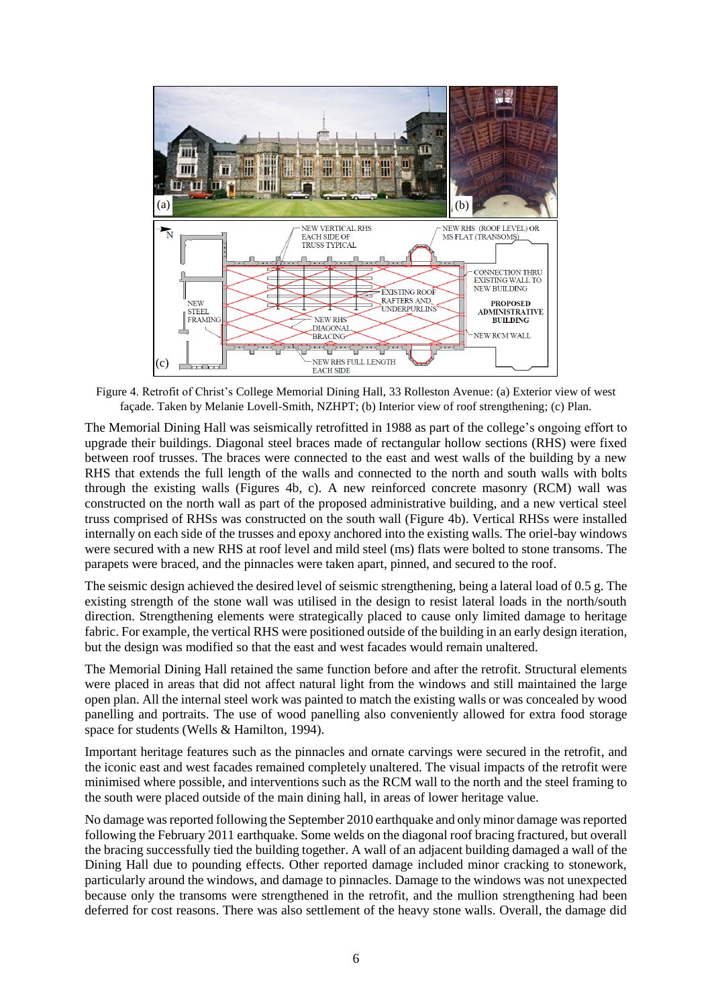

Figure 4. Retrofit of Christ's College Memorial Dining Hall, 33 Rolleston Avenue: (a) Exterior view of west façade. Taken by Melanie Lovell-Smith, NZHPT; (b) Interior view of roof strengthening; (c) Plan.

The Memorial Dining Hall was seismically retrofitted in 1988 as part of the college's ongoing effort to upgrade their buildings. Diagonal steel braces made of rectangular hollow sections (RHS) were fixed between roof trusses. The braces were connected to the east and west walls of the building by a new RHS that extends the full length of the walls and connected to the north and south walls with bolts through the existing walls (Figures 4b, c). A new reinforced concrete masonry (RCM) wall was constructed on the north wall as part of the proposed administrative building, and a new vertical steel truss comprised of RHSs was constructed on the south wall (Figure 4b). Vertical RHSs were installed internally on each side of the trusses and epoxy anchored into the existing walls. The oriel-bay windows were secured with a new RHS at roof level and mild steel (ms) flats were bolted to stone transoms. The parapets were braced, and the pinnacles were taken apart, pinned, and secured to the roof.

The seismic design achieved the desired level of seismic strengthening, being a lateral load of 0.5 g. The existing strength of the stone wall was utilised in the design to resist lateral loads in the north/south direction. Strengthening elements were strategically placed to cause only limited damage to heritage fabric. For example, the vertical RHS were positioned outside of the building in an early design iteration, but the design was modified so that the east and west facades would remain unaltered.

The Memorial Dining Hall retained the same function before and after the retrofit. Structural elements were placed in areas that did not affect natural light from the windows and still maintained the large open plan. All the internal steel work was painted to match the existing walls or was concealed by wood panelling and portraits. The use of wood panelling also conveniently allowed for extra food storage space for students (Wells & Hamilton, 1994).

Important heritage features such as the pinnacles and ornate carvings were secured in the retrofit, and the iconic east and west facades remained completely unaltered. The visual impacts of the retrofit were minimised where possible, and interventions such as the RCM wall to the north and the steel framing to the south were placed outside of the main dining hall, in areas of lower heritage value.

No damage was reported following the September 2010 earthquake and only minor damage was reported following the February 2011 earthquake. Some welds on the diagonal roof bracing fractured, but overall the bracing successfully tied the building together. A wall of an adjacent building damaged a wall of the Dining Hall due to pounding effects. Other reported damage included minor cracking to stonework, particularly around the windows, and damage to pinnacles. Damage to the windows was not unexpected because only the transoms were strengthened in the retrofit, and the mullion strengthening had been deferred for cost reasons. There was also settlement of the heavy stone walls. Overall, the damage did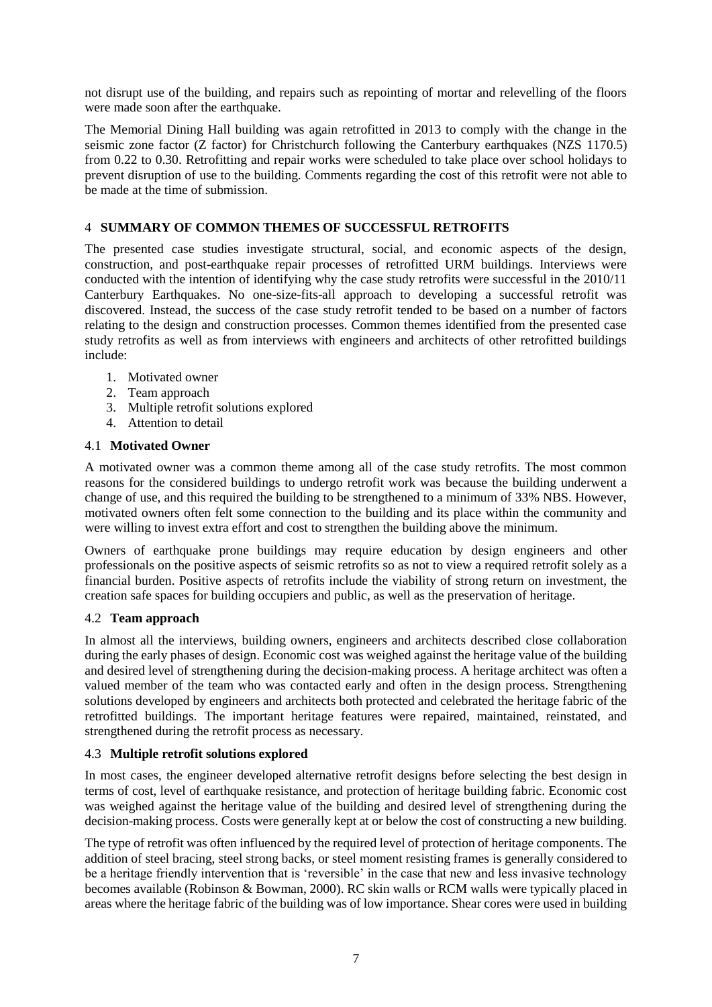not disrupt use of the building, and repairs such as repointing of mortar and relevelling of the floors were made soon after the earthquake.

The Memorial Dining Hall building was again retrofitted in 2013 to comply with the change in the seismic zone factor (Z factor) for Christchurch following the Canterbury earthquakes (NZS 1170.5) from 0.22 to 0.30. Retrofitting and repair works were scheduled to take place over school holidays to prevent disruption of use to the building. Comments regarding the cost of this retrofit were not able to be made at the time of submission.

## 4 **SUMMARY OF COMMON THEMES OF SUCCESSFUL RETROFITS**

The presented case studies investigate structural, social, and economic aspects of the design, construction, and post-earthquake repair processes of retrofitted URM buildings. Interviews were conducted with the intention of identifying why the case study retrofits were successful in the 2010/11 Canterbury Earthquakes. No one-size-fits-all approach to developing a successful retrofit was discovered. Instead, the success of the case study retrofit tended to be based on a number of factors relating to the design and construction processes. Common themes identified from the presented case study retrofits as well as from interviews with engineers and architects of other retrofitted buildings include:

- 1. Motivated owner
- 2. Team approach
- 3. Multiple retrofit solutions explored
- 4. Attention to detail

### 4.1 **Motivated Owner**

A motivated owner was a common theme among all of the case study retrofits. The most common reasons for the considered buildings to undergo retrofit work was because the building underwent a change of use, and this required the building to be strengthened to a minimum of 33% NBS. However, motivated owners often felt some connection to the building and its place within the community and were willing to invest extra effort and cost to strengthen the building above the minimum.

Owners of earthquake prone buildings may require education by design engineers and other professionals on the positive aspects of seismic retrofits so as not to view a required retrofit solely as a financial burden. Positive aspects of retrofits include the viability of strong return on investment, the creation safe spaces for building occupiers and public, as well as the preservation of heritage.

#### 4.2 **Team approach**

In almost all the interviews, building owners, engineers and architects described close collaboration during the early phases of design. Economic cost was weighed against the heritage value of the building and desired level of strengthening during the decision-making process. A heritage architect was often a valued member of the team who was contacted early and often in the design process. Strengthening solutions developed by engineers and architects both protected and celebrated the heritage fabric of the retrofitted buildings. The important heritage features were repaired, maintained, reinstated, and strengthened during the retrofit process as necessary.

#### 4.3 **Multiple retrofit solutions explored**

In most cases, the engineer developed alternative retrofit designs before selecting the best design in terms of cost, level of earthquake resistance, and protection of heritage building fabric. Economic cost was weighed against the heritage value of the building and desired level of strengthening during the decision-making process. Costs were generally kept at or below the cost of constructing a new building.

The type of retrofit was often influenced by the required level of protection of heritage components. The addition of steel bracing, steel strong backs, or steel moment resisting frames is generally considered to be a heritage friendly intervention that is 'reversible' in the case that new and less invasive technology becomes available (Robinson & Bowman, 2000). RC skin walls or RCM walls were typically placed in areas where the heritage fabric of the building was of low importance. Shear cores were used in building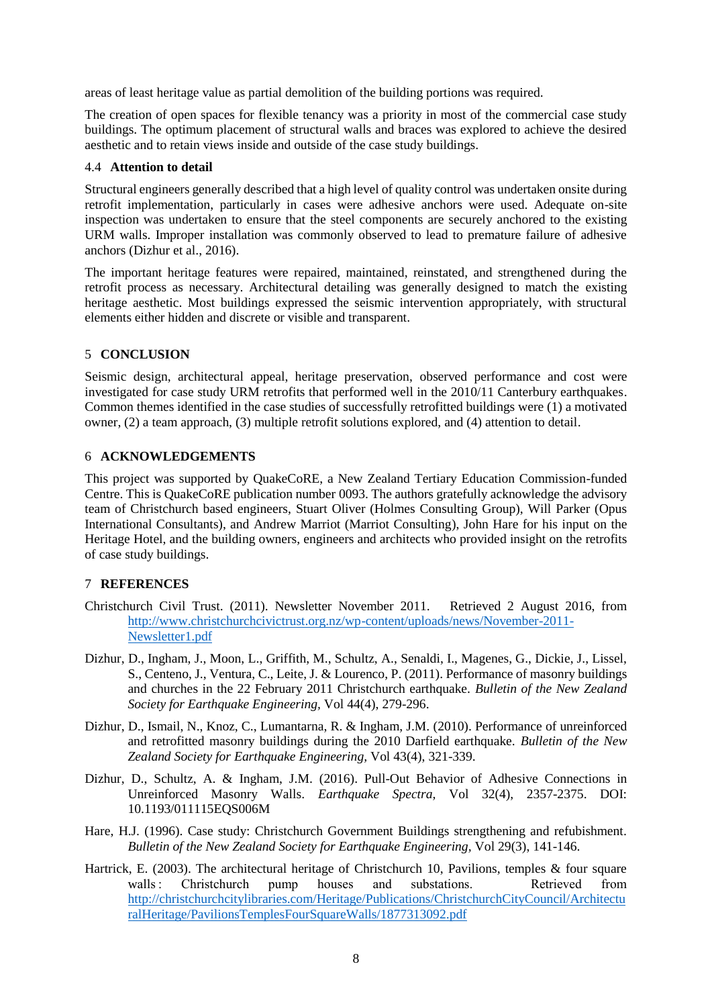areas of least heritage value as partial demolition of the building portions was required.

The creation of open spaces for flexible tenancy was a priority in most of the commercial case study buildings. The optimum placement of structural walls and braces was explored to achieve the desired aesthetic and to retain views inside and outside of the case study buildings.

### 4.4 **Attention to detail**

Structural engineers generally described that a high level of quality control was undertaken onsite during retrofit implementation, particularly in cases were adhesive anchors were used. Adequate on-site inspection was undertaken to ensure that the steel components are securely anchored to the existing URM walls. Improper installation was commonly observed to lead to premature failure of adhesive anchors (Dizhur et al., 2016).

The important heritage features were repaired, maintained, reinstated, and strengthened during the retrofit process as necessary. Architectural detailing was generally designed to match the existing heritage aesthetic. Most buildings expressed the seismic intervention appropriately, with structural elements either hidden and discrete or visible and transparent.

## 5 **CONCLUSION**

Seismic design, architectural appeal, heritage preservation, observed performance and cost were investigated for case study URM retrofits that performed well in the 2010/11 Canterbury earthquakes. Common themes identified in the case studies of successfully retrofitted buildings were (1) a motivated owner, (2) a team approach, (3) multiple retrofit solutions explored, and (4) attention to detail.

## 6 **ACKNOWLEDGEMENTS**

This project was supported by QuakeCoRE, a New Zealand Tertiary Education Commission-funded Centre. This is QuakeCoRE publication number 0093. The authors gratefully acknowledge the advisory team of Christchurch based engineers, Stuart Oliver (Holmes Consulting Group), Will Parker (Opus International Consultants), and Andrew Marriot (Marriot Consulting), John Hare for his input on the Heritage Hotel, and the building owners, engineers and architects who provided insight on the retrofits of case study buildings.

## 7 **REFERENCES**

- Christchurch Civil Trust. (2011). Newsletter November 2011. Retrieved 2 August 2016, from [http://www.christchurchcivictrust.org.nz/wp-content/uploads/news/November-2011-](http://www.christchurchcivictrust.org.nz/wp-content/uploads/news/November-2011-Newsletter1.pdf) [Newsletter1.pdf](http://www.christchurchcivictrust.org.nz/wp-content/uploads/news/November-2011-Newsletter1.pdf)
- Dizhur, D., Ingham, J., Moon, L., Griffith, M., Schultz, A., Senaldi, I., Magenes, G., Dickie, J., Lissel, S., Centeno, J., Ventura, C., Leite, J. & Lourenco, P. (2011). Performance of masonry buildings and churches in the 22 February 2011 Christchurch earthquake. *Bulletin of the New Zealand Society for Earthquake Engineering,* Vol 44(4), 279-296.
- Dizhur, D., Ismail, N., Knoz, C., Lumantarna, R. & Ingham, J.M. (2010). Performance of unreinforced and retrofitted masonry buildings during the 2010 Darfield earthquake. *Bulletin of the New Zealand Society for Earthquake Engineering,* Vol 43(4), 321-339.
- Dizhur, D., Schultz, A. & Ingham, J.M. (2016). Pull-Out Behavior of Adhesive Connections in Unreinforced Masonry Walls. *Earthquake Spectra,* Vol 32(4), 2357-2375. DOI: 10.1193/011115EQS006M
- Hare, H.J. (1996). Case study: Christchurch Government Buildings strengthening and refubishment. *Bulletin of the New Zealand Society for Earthquake Engineering,* Vol 29(3), 141-146.
- Hartrick, E. (2003). The architectural heritage of Christchurch 10, Pavilions, temples & four square walls
: Christchurch pump houses and substations. Retrieved from [http://christchurchcitylibraries.com/Heritage/Publications/ChristchurchCityCouncil/Architectu](http://christchurchcitylibraries.com/Heritage/Publications/ChristchurchCityCouncil/ArchitecturalHeritage/PavilionsTemplesFourSquareWalls/1877313092.pdf) [ralHeritage/PavilionsTemplesFourSquareWalls/1877313092.pdf](http://christchurchcitylibraries.com/Heritage/Publications/ChristchurchCityCouncil/ArchitecturalHeritage/PavilionsTemplesFourSquareWalls/1877313092.pdf)